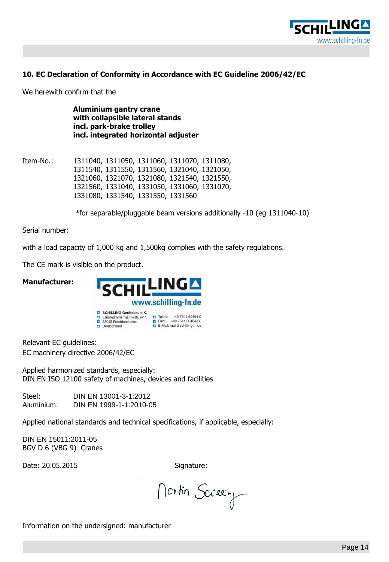

## **10. EC Declaration of Conformity in Accordance with EC Guideline 2006/42/EC**

We herewith confirm that the

**Aluminium gantry crane with collapsible lateral stands incl. park-brake trolley incl. integrated horizontal adjuster**

Item-No.: 1311040, 1311050, 1311060, 1311070, 1311080, 1311540, 1311550, 1311560, 1321040, 1321050, 1321060, 1321070, 1321080, 1321540, 1321550, 1321560, 1331040, 1331050, 1331060, 1331070, 1331080, 1331540, 1331550, 1331560

\*for separable/pluggable beam versions additionally -10 (eg 1311040-10)

Serial number:

with a load capacity of 1,000 kg and 1,500kg complies with the safety regulations.

The CE mark is visible on the product.

**Manufacturer:**



Relevant EC guidelines: EC machinery directive 2006/42/EC

Applied harmonized standards, especially: DIN EN ISO 12100 safety of machines, devices and facilities

Steel: DIN EN 13001-3-1:2012 Aluminium: DIN EN 1999-1-1:2010-05

Applied national standards and technical specifications, if applicable, especially:

DIN EN 15011:2011-05 BGV D 6 (VBG 9) Cranes

Date: 20.05.2015 Signature:

Mortin Screen

Information on the undersigned: manufacturer